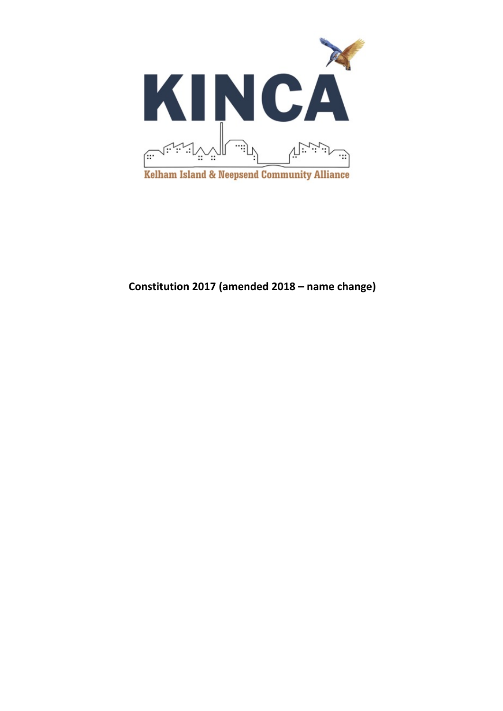

# **Constitution 2017 (amended 2018 – name change)**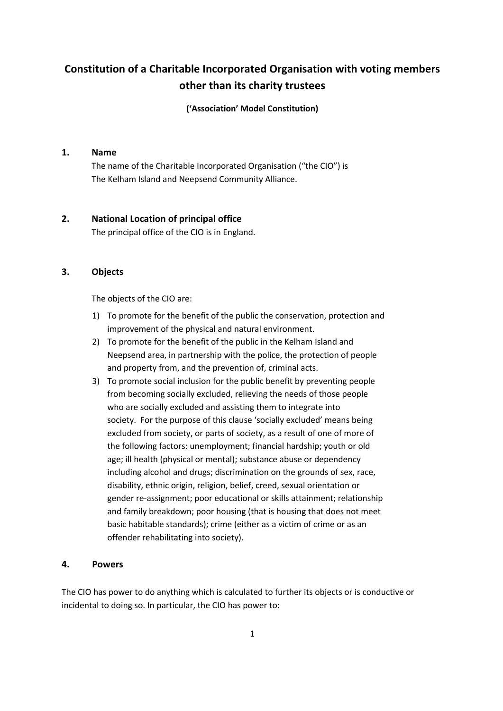# **Constitution of a Charitable Incorporated Organisation with voting members other than its charity trustees**

**('Association' Model Constitution)**

## **1. Name**

The name of the Charitable Incorporated Organisation ("the CIO") is The Kelham Island and Neepsend Community Alliance.

# **2. National Location of principal office**

The principal office of the CIO is in England.

# **3. Objects**

The objects of the CIO are:

- 1) To promote for the benefit of the public the conservation, protection and improvement of the physical and natural environment.
- 2) To promote for the benefit of the public in the Kelham Island and Neepsend area, in partnership with the police, the protection of people and property from, and the prevention of, criminal acts.
- 3) To promote social inclusion for the public benefit by preventing people from becoming socially excluded, relieving the needs of those people who are socially excluded and assisting them to integrate into society. For the purpose of this clause 'socially excluded' means being excluded from society, or parts of society, as a result of one of more of the following factors: unemployment; financial hardship; youth or old age; ill health (physical or mental); substance abuse or dependency including alcohol and drugs; discrimination on the grounds of sex, race, disability, ethnic origin, religion, belief, creed, sexual orientation or gender re-assignment; poor educational or skills attainment; relationship and family breakdown; poor housing (that is housing that does not meet basic habitable standards); crime (either as a victim of crime or as an offender rehabilitating into society).

## **4. Powers**

The CIO has power to do anything which is calculated to further its objects or is conductive or incidental to doing so. In particular, the CIO has power to: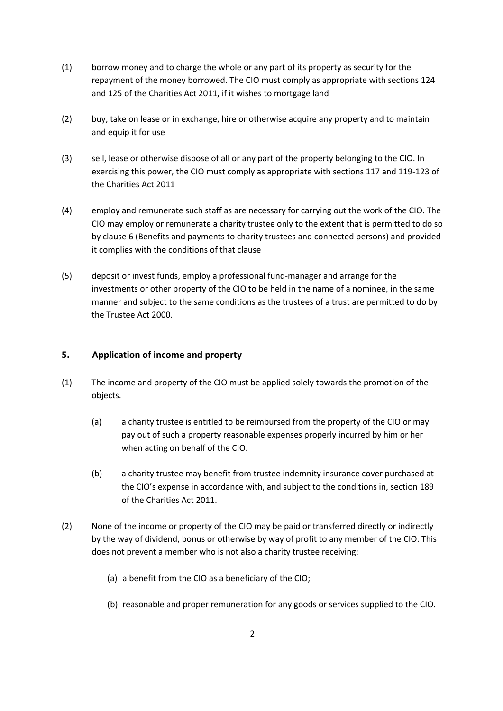- (1) borrow money and to charge the whole or any part of its property as security for the repayment of the money borrowed. The CIO must comply as appropriate with sections 124 and 125 of the Charities Act 2011, if it wishes to mortgage land
- (2) buy, take on lease or in exchange, hire or otherwise acquire any property and to maintain and equip it for use
- (3) sell, lease or otherwise dispose of all or any part of the property belonging to the CIO. In exercising this power, the CIO must comply as appropriate with sections 117 and 119-123 of the Charities Act 2011
- (4) employ and remunerate such staff as are necessary for carrying out the work of the CIO. The CIO may employ or remunerate a charity trustee only to the extent that is permitted to do so by clause 6 (Benefits and payments to charity trustees and connected persons) and provided it complies with the conditions of that clause
- (5) deposit or invest funds, employ a professional fund-manager and arrange for the investments or other property of the CIO to be held in the name of a nominee, in the same manner and subject to the same conditions as the trustees of a trust are permitted to do by the Trustee Act 2000.

# **5. Application of income and property**

- (1) The income and property of the CIO must be applied solely towards the promotion of the objects.
	- (a) a charity trustee is entitled to be reimbursed from the property of the CIO or may pay out of such a property reasonable expenses properly incurred by him or her when acting on behalf of the CIO.
	- (b) a charity trustee may benefit from trustee indemnity insurance cover purchased at the CIO's expense in accordance with, and subject to the conditions in, section 189 of the Charities Act 2011.
- (2) None of the income or property of the CIO may be paid or transferred directly or indirectly by the way of dividend, bonus or otherwise by way of profit to any member of the CIO. This does not prevent a member who is not also a charity trustee receiving:
	- (a) a benefit from the CIO as a beneficiary of the CIO;
	- (b) reasonable and proper remuneration for any goods or services supplied to the CIO.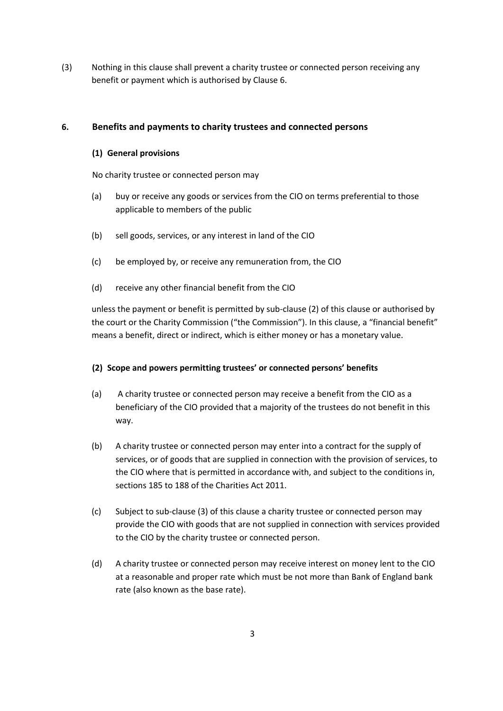(3) Nothing in this clause shall prevent a charity trustee or connected person receiving any benefit or payment which is authorised by Clause 6.

# **6. Benefits and payments to charity trustees and connected persons**

## **(1) General provisions**

No charity trustee or connected person may

- (a) buy or receive any goods or services from the CIO on terms preferential to those applicable to members of the public
- (b) sell goods, services, or any interest in land of the CIO
- (c) be employed by, or receive any remuneration from, the CIO
- (d) receive any other financial benefit from the CIO

unless the payment or benefit is permitted by sub-clause (2) of this clause or authorised by the court or the Charity Commission ("the Commission"). In this clause, a "financial benefit" means a benefit, direct or indirect, which is either money or has a monetary value.

#### **(2) Scope and powers permitting trustees' or connected persons' benefits**

- (a) A charity trustee or connected person may receive a benefit from the CIO as a beneficiary of the CIO provided that a majority of the trustees do not benefit in this way.
- (b) A charity trustee or connected person may enter into a contract for the supply of services, or of goods that are supplied in connection with the provision of services, to the CIO where that is permitted in accordance with, and subject to the conditions in, sections 185 to 188 of the Charities Act 2011.
- (c) Subject to sub-clause (3) of this clause a charity trustee or connected person may provide the CIO with goods that are not supplied in connection with services provided to the CIO by the charity trustee or connected person.
- (d) A charity trustee or connected person may receive interest on money lent to the CIO at a reasonable and proper rate which must be not more than Bank of England bank rate (also known as the base rate).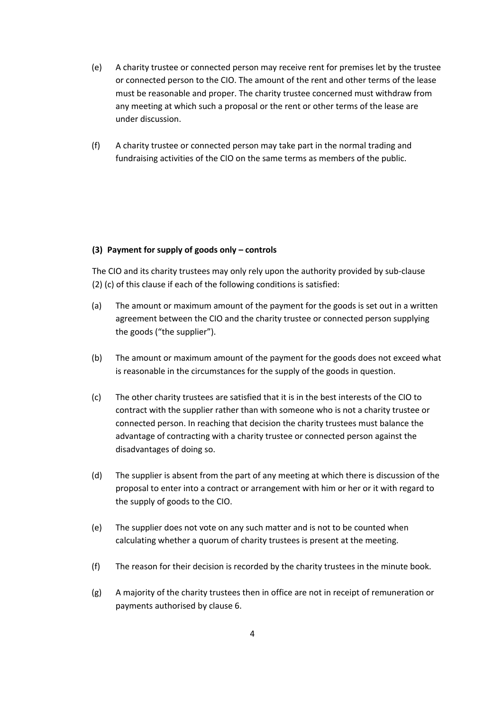- (e) A charity trustee or connected person may receive rent for premises let by the trustee or connected person to the CIO. The amount of the rent and other terms of the lease must be reasonable and proper. The charity trustee concerned must withdraw from any meeting at which such a proposal or the rent or other terms of the lease are under discussion.
- (f) A charity trustee or connected person may take part in the normal trading and fundraising activities of the CIO on the same terms as members of the public.

#### **(3) Payment for supply of goods only – controls**

The CIO and its charity trustees may only rely upon the authority provided by sub-clause (2) (c) of this clause if each of the following conditions is satisfied:

- (a) The amount or maximum amount of the payment for the goods is set out in a written agreement between the CIO and the charity trustee or connected person supplying the goods ("the supplier").
- (b) The amount or maximum amount of the payment for the goods does not exceed what is reasonable in the circumstances for the supply of the goods in question.
- (c) The other charity trustees are satisfied that it is in the best interests of the CIO to contract with the supplier rather than with someone who is not a charity trustee or connected person. In reaching that decision the charity trustees must balance the advantage of contracting with a charity trustee or connected person against the disadvantages of doing so.
- (d) The supplier is absent from the part of any meeting at which there is discussion of the proposal to enter into a contract or arrangement with him or her or it with regard to the supply of goods to the CIO.
- (e) The supplier does not vote on any such matter and is not to be counted when calculating whether a quorum of charity trustees is present at the meeting.
- (f) The reason for their decision is recorded by the charity trustees in the minute book.
- (g) A majority of the charity trustees then in office are not in receipt of remuneration or payments authorised by clause 6.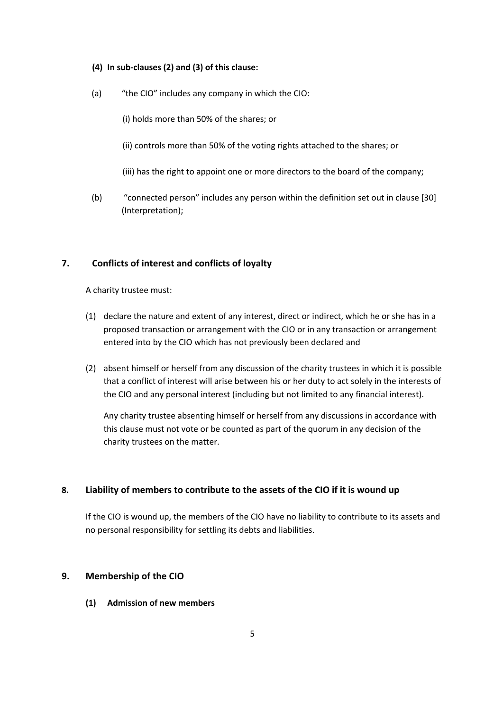#### **(4) In sub-clauses (2) and (3) of this clause:**

(a) "the CIO" includes any company in which the CIO:

(i) holds more than 50% of the shares; or

- (ii) controls more than 50% of the voting rights attached to the shares; or
- (iii) has the right to appoint one or more directors to the board of the company;
- (b) "connected person" includes any person within the definition set out in clause [30] (Interpretation);

## **7. Conflicts of interest and conflicts of loyalty**

A charity trustee must:

- (1) declare the nature and extent of any interest, direct or indirect, which he or she has in a proposed transaction or arrangement with the CIO or in any transaction or arrangement entered into by the CIO which has not previously been declared and
- (2) absent himself or herself from any discussion of the charity trustees in which it is possible that a conflict of interest will arise between his or her duty to act solely in the interests of the CIO and any personal interest (including but not limited to any financial interest).

Any charity trustee absenting himself or herself from any discussions in accordance with this clause must not vote or be counted as part of the quorum in any decision of the charity trustees on the matter.

## **8. Liability of members to contribute to the assets of the CIO if it is wound up**

If the CIO is wound up, the members of the CIO have no liability to contribute to its assets and no personal responsibility for settling its debts and liabilities.

## **9. Membership of the CIO**

**(1) Admission of new members**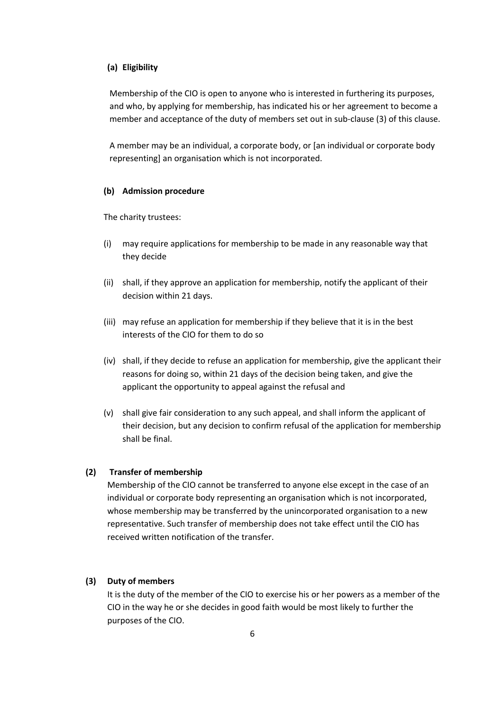## **(a) Eligibility**

Membership of the CIO is open to anyone who is interested in furthering its purposes, and who, by applying for membership, has indicated his or her agreement to become a member and acceptance of the duty of members set out in sub-clause (3) of this clause.

A member may be an individual, a corporate body, or [an individual or corporate body representing] an organisation which is not incorporated.

#### **(b) Admission procedure**

The charity trustees:

- (i) may require applications for membership to be made in any reasonable way that they decide
- (ii) shall, if they approve an application for membership, notify the applicant of their decision within 21 days.
- (iii) may refuse an application for membership if they believe that it is in the best interests of the CIO for them to do so
- (iv) shall, if they decide to refuse an application for membership, give the applicant their reasons for doing so, within 21 days of the decision being taken, and give the applicant the opportunity to appeal against the refusal and
- (v) shall give fair consideration to any such appeal, and shall inform the applicant of their decision, but any decision to confirm refusal of the application for membership shall be final.

#### **(2) Transfer of membership**

Membership of the CIO cannot be transferred to anyone else except in the case of an individual or corporate body representing an organisation which is not incorporated, whose membership may be transferred by the unincorporated organisation to a new representative. Such transfer of membership does not take effect until the CIO has received written notification of the transfer.

# **(3) Duty of members**

It is the duty of the member of the CIO to exercise his or her powers as a member of the CIO in the way he or she decides in good faith would be most likely to further the purposes of the CIO.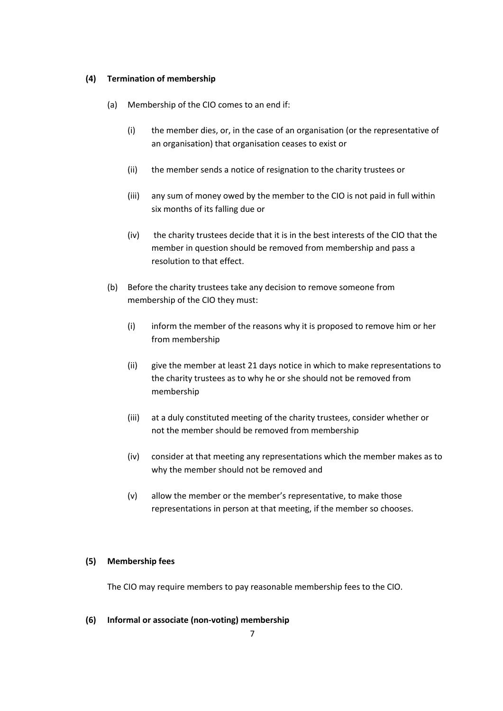#### **(4) Termination of membership**

- (a) Membership of the CIO comes to an end if:
	- (i) the member dies, or, in the case of an organisation (or the representative of an organisation) that organisation ceases to exist or
	- (ii) the member sends a notice of resignation to the charity trustees or
	- (iii) any sum of money owed by the member to the CIO is not paid in full within six months of its falling due or
	- (iv) the charity trustees decide that it is in the best interests of the CIO that the member in question should be removed from membership and pass a resolution to that effect.
- (b) Before the charity trustees take any decision to remove someone from membership of the CIO they must:
	- (i) inform the member of the reasons why it is proposed to remove him or her from membership
	- (ii) give the member at least 21 days notice in which to make representations to the charity trustees as to why he or she should not be removed from membership
	- (iii) at a duly constituted meeting of the charity trustees, consider whether or not the member should be removed from membership
	- (iv) consider at that meeting any representations which the member makes as to why the member should not be removed and
	- (v) allow the member or the member's representative, to make those representations in person at that meeting, if the member so chooses.

## **(5) Membership fees**

The CIO may require members to pay reasonable membership fees to the CIO.

#### **(6) Informal or associate (non-voting) membership**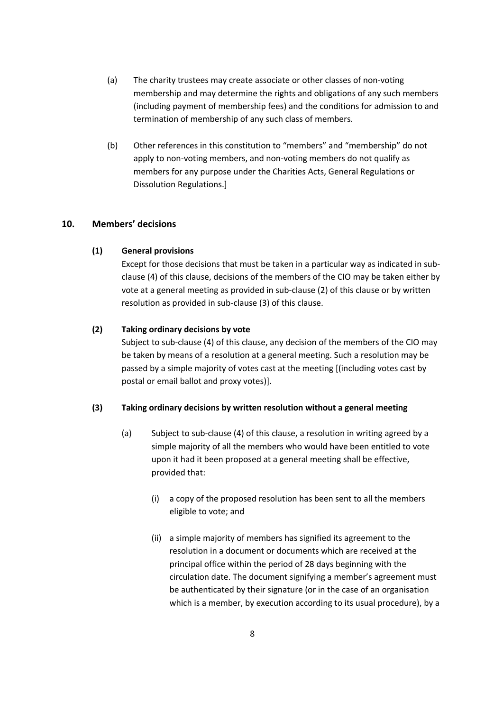- (a) The charity trustees may create associate or other classes of non-voting membership and may determine the rights and obligations of any such members (including payment of membership fees) and the conditions for admission to and termination of membership of any such class of members.
- (b) Other references in this constitution to "members" and "membership" do not apply to non-voting members, and non-voting members do not qualify as members for any purpose under the Charities Acts, General Regulations or Dissolution Regulations.]

## **10. Members' decisions**

#### **(1) General provisions**

Except for those decisions that must be taken in a particular way as indicated in subclause (4) of this clause, decisions of the members of the CIO may be taken either by vote at a general meeting as provided in sub-clause (2) of this clause or by written resolution as provided in sub-clause (3) of this clause.

#### **(2) Taking ordinary decisions by vote**

Subject to sub-clause (4) of this clause, any decision of the members of the CIO may be taken by means of a resolution at a general meeting. Such a resolution may be passed by a simple majority of votes cast at the meeting [(including votes cast by postal or email ballot and proxy votes)].

#### **(3) Taking ordinary decisions by written resolution without a general meeting**

- (a) Subject to sub-clause (4) of this clause, a resolution in writing agreed by a simple majority of all the members who would have been entitled to vote upon it had it been proposed at a general meeting shall be effective, provided that:
	- (i) a copy of the proposed resolution has been sent to all the members eligible to vote; and
	- (ii) a simple majority of members has signified its agreement to the resolution in a document or documents which are received at the principal office within the period of 28 days beginning with the circulation date. The document signifying a member's agreement must be authenticated by their signature (or in the case of an organisation which is a member, by execution according to its usual procedure), by a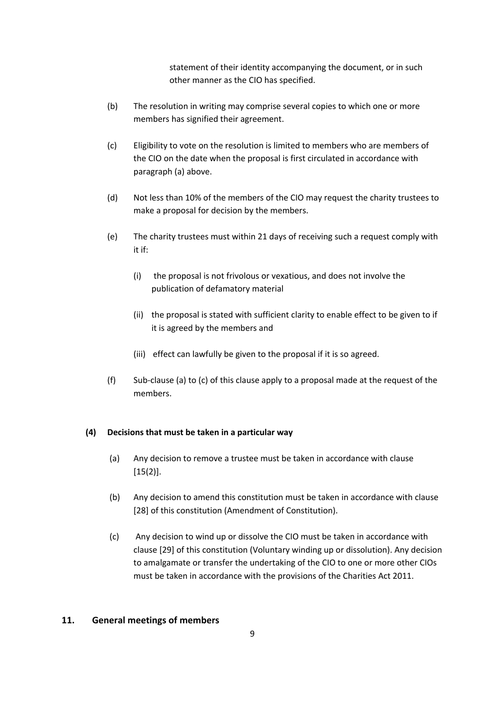statement of their identity accompanying the document, or in such other manner as the CIO has specified.

- (b) The resolution in writing may comprise several copies to which one or more members has signified their agreement.
- (c) Eligibility to vote on the resolution is limited to members who are members of the CIO on the date when the proposal is first circulated in accordance with paragraph (a) above.
- (d) Not less than 10% of the members of the CIO may request the charity trustees to make a proposal for decision by the members.
- (e) The charity trustees must within 21 days of receiving such a request comply with it if:
	- (i) the proposal is not frivolous or vexatious, and does not involve the publication of defamatory material
	- (ii) the proposal is stated with sufficient clarity to enable effect to be given to if it is agreed by the members and
	- (iii) effect can lawfully be given to the proposal if it is so agreed.
- (f) Sub-clause (a) to (c) of this clause apply to a proposal made at the request of the members.

## **(4) Decisions that must be taken in a particular way**

- (a) Any decision to remove a trustee must be taken in accordance with clause [15(2)].
- (b) Any decision to amend this constitution must be taken in accordance with clause [28] of this constitution (Amendment of Constitution).
- (c) Any decision to wind up or dissolve the CIO must be taken in accordance with clause [29] of this constitution (Voluntary winding up or dissolution). Any decision to amalgamate or transfer the undertaking of the CIO to one or more other CIOs must be taken in accordance with the provisions of the Charities Act 2011.

#### **11. General meetings of members**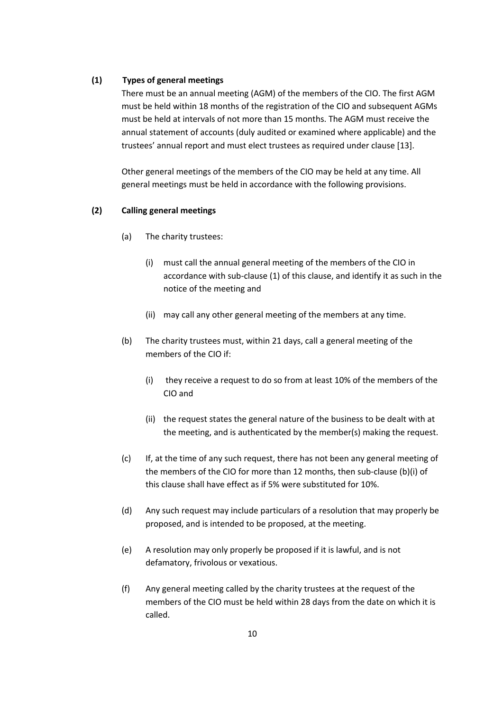#### **(1) Types of general meetings**

There must be an annual meeting (AGM) of the members of the CIO. The first AGM must be held within 18 months of the registration of the CIO and subsequent AGMs must be held at intervals of not more than 15 months. The AGM must receive the annual statement of accounts (duly audited or examined where applicable) and the trustees' annual report and must elect trustees as required under clause [13].

Other general meetings of the members of the CIO may be held at any time. All general meetings must be held in accordance with the following provisions.

#### **(2) Calling general meetings**

- (a) The charity trustees:
	- (i) must call the annual general meeting of the members of the CIO in accordance with sub-clause (1) of this clause, and identify it as such in the notice of the meeting and
	- (ii) may call any other general meeting of the members at any time.
- (b) The charity trustees must, within 21 days, call a general meeting of the members of the CIO if:
	- (i) they receive a request to do so from at least 10% of the members of the CIO and
	- (ii) the request states the general nature of the business to be dealt with at the meeting, and is authenticated by the member(s) making the request.
- (c) If, at the time of any such request, there has not been any general meeting of the members of the CIO for more than 12 months, then sub-clause (b)(i) of this clause shall have effect as if 5% were substituted for 10%.
- (d) Any such request may include particulars of a resolution that may properly be proposed, and is intended to be proposed, at the meeting.
- (e) A resolution may only properly be proposed if it is lawful, and is not defamatory, frivolous or vexatious.
- (f) Any general meeting called by the charity trustees at the request of the members of the CIO must be held within 28 days from the date on which it is called.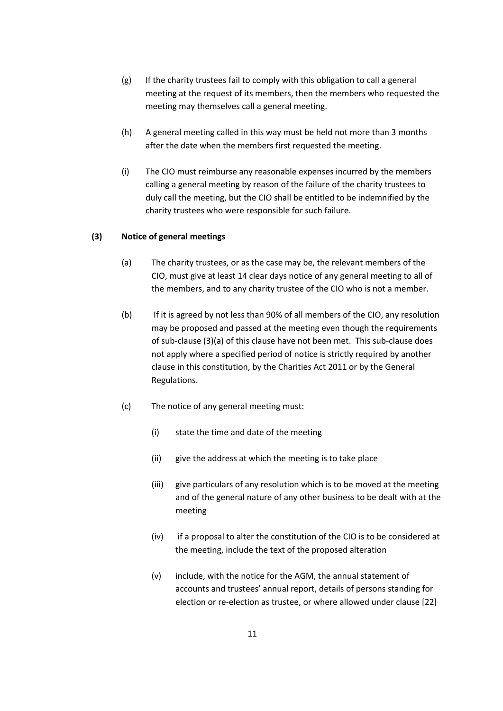- (g) If the charity trustees fail to comply with this obligation to call a general meeting at the request of its members, then the members who requested the meeting may themselves call a general meeting.
- (h) A general meeting called in this way must be held not more than 3 months after the date when the members first requested the meeting.
- (i) The CIO must reimburse any reasonable expenses incurred by the members calling a general meeting by reason of the failure of the charity trustees to duly call the meeting, but the CIO shall be entitled to be indemnified by the charity trustees who were responsible for such failure.

## **(3) Notice of general meetings**

- (a) The charity trustees, or as the case may be, the relevant members of the CIO, must give at least 14 clear days notice of any general meeting to all of the members, and to any charity trustee of the CIO who is not a member.
- (b) If it is agreed by not less than 90% of all members of the CIO, any resolution may be proposed and passed at the meeting even though the requirements of sub-clause (3)(a) of this clause have not been met. This sub-clause does not apply where a specified period of notice is strictly required by another clause in this constitution, by the Charities Act 2011 or by the General Regulations.
- (c) The notice of any general meeting must:
	- (i) state the time and date of the meeting
	- (ii) give the address at which the meeting is to take place
	- (iii) give particulars of any resolution which is to be moved at the meeting and of the general nature of any other business to be dealt with at the meeting
	- (iv) if a proposal to alter the constitution of the CIO is to be considered at the meeting, include the text of the proposed alteration
	- (v) include, with the notice for the AGM, the annual statement of accounts and trustees' annual report, details of persons standing for election or re-election as trustee, or where allowed under clause [22]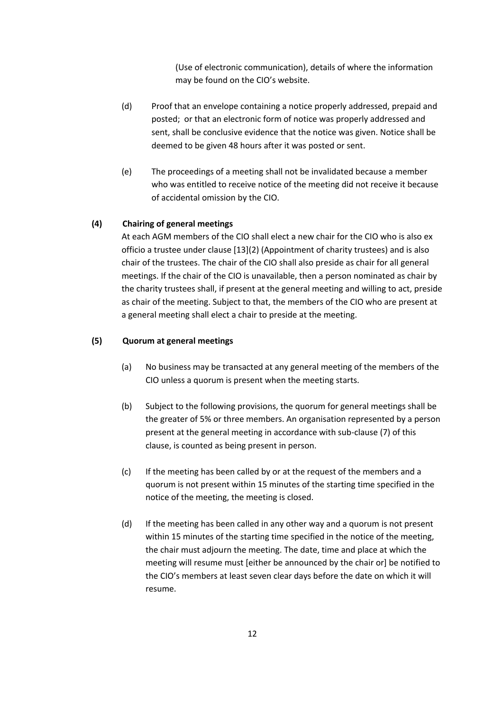(Use of electronic communication), details of where the information may be found on the CIO's website.

- (d) Proof that an envelope containing a notice properly addressed, prepaid and posted; or that an electronic form of notice was properly addressed and sent, shall be conclusive evidence that the notice was given. Notice shall be deemed to be given 48 hours after it was posted or sent.
- (e) The proceedings of a meeting shall not be invalidated because a member who was entitled to receive notice of the meeting did not receive it because of accidental omission by the CIO.

## **(4) Chairing of general meetings**

At each AGM members of the CIO shall elect a new chair for the CIO who is also ex officio a trustee under clause [13](2) (Appointment of charity trustees) and is also chair of the trustees. The chair of the CIO shall also preside as chair for all general meetings. If the chair of the CIO is unavailable, then a person nominated as chair by the charity trustees shall, if present at the general meeting and willing to act, preside as chair of the meeting. Subject to that, the members of the CIO who are present at a general meeting shall elect a chair to preside at the meeting.

## **(5) Quorum at general meetings**

- (a) No business may be transacted at any general meeting of the members of the CIO unless a quorum is present when the meeting starts.
- (b) Subject to the following provisions, the quorum for general meetings shall be the greater of 5% or three members. An organisation represented by a person present at the general meeting in accordance with sub-clause (7) of this clause, is counted as being present in person.
- (c) If the meeting has been called by or at the request of the members and a quorum is not present within 15 minutes of the starting time specified in the notice of the meeting, the meeting is closed.
- (d) If the meeting has been called in any other way and a quorum is not present within 15 minutes of the starting time specified in the notice of the meeting, the chair must adjourn the meeting. The date, time and place at which the meeting will resume must [either be announced by the chair or] be notified to the CIO's members at least seven clear days before the date on which it will resume.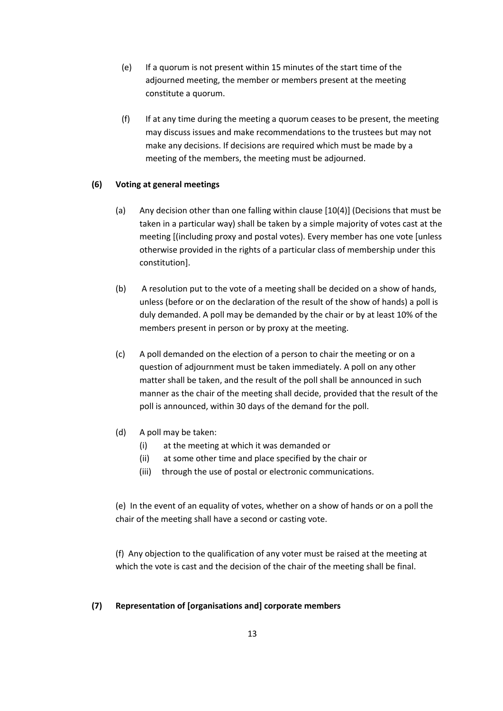- (e) If a quorum is not present within 15 minutes of the start time of the adjourned meeting, the member or members present at the meeting constitute a quorum.
- (f) If at any time during the meeting a quorum ceases to be present, the meeting may discuss issues and make recommendations to the trustees but may not make any decisions. If decisions are required which must be made by a meeting of the members, the meeting must be adjourned.

## **(6) Voting at general meetings**

- (a) Any decision other than one falling within clause [10(4)] (Decisions that must be taken in a particular way) shall be taken by a simple majority of votes cast at the meeting [(including proxy and postal votes). Every member has one vote [unless otherwise provided in the rights of a particular class of membership under this constitution].
- (b) A resolution put to the vote of a meeting shall be decided on a show of hands, unless (before or on the declaration of the result of the show of hands) a poll is duly demanded. A poll may be demanded by the chair or by at least 10% of the members present in person or by proxy at the meeting.
- (c) A poll demanded on the election of a person to chair the meeting or on a question of adjournment must be taken immediately. A poll on any other matter shall be taken, and the result of the poll shall be announced in such manner as the chair of the meeting shall decide, provided that the result of the poll is announced, within 30 days of the demand for the poll.
- (d) A poll may be taken:
	- (i) at the meeting at which it was demanded or
	- (ii) at some other time and place specified by the chair or
	- (iii) through the use of postal or electronic communications.

(e) In the event of an equality of votes, whether on a show of hands or on a poll the chair of the meeting shall have a second or casting vote.

(f) Any objection to the qualification of any voter must be raised at the meeting at which the vote is cast and the decision of the chair of the meeting shall be final.

#### **(7) Representation of [organisations and] corporate members**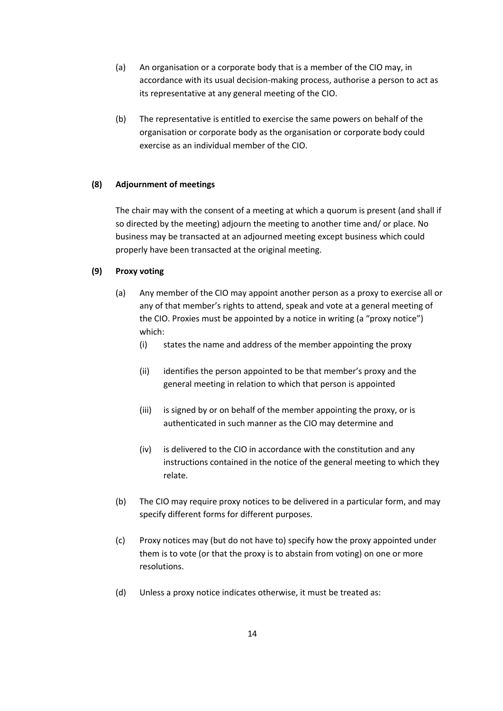- (a) An organisation or a corporate body that is a member of the CIO may, in accordance with its usual decision-making process, authorise a person to act as its representative at any general meeting of the CIO.
- (b) The representative is entitled to exercise the same powers on behalf of the organisation or corporate body as the organisation or corporate body could exercise as an individual member of the CIO.

## **(8) Adjournment of meetings**

The chair may with the consent of a meeting at which a quorum is present (and shall if so directed by the meeting) adjourn the meeting to another time and/ or place. No business may be transacted at an adjourned meeting except business which could properly have been transacted at the original meeting.

#### **(9) Proxy voting**

- (a) Any member of the CIO may appoint another person as a proxy to exercise all or any of that member's rights to attend, speak and vote at a general meeting of the CIO. Proxies must be appointed by a notice in writing (a "proxy notice") which:
	- (i) states the name and address of the member appointing the proxy
	- (ii) identifies the person appointed to be that member's proxy and the general meeting in relation to which that person is appointed
	- (iii) is signed by or on behalf of the member appointing the proxy, or is authenticated in such manner as the CIO may determine and
	- (iv) is delivered to the CIO in accordance with the constitution and any instructions contained in the notice of the general meeting to which they relate.
- (b) The CIO may require proxy notices to be delivered in a particular form, and may specify different forms for different purposes.
- (c) Proxy notices may (but do not have to) specify how the proxy appointed under them is to vote (or that the proxy is to abstain from voting) on one or more resolutions.
- (d) Unless a proxy notice indicates otherwise, it must be treated as: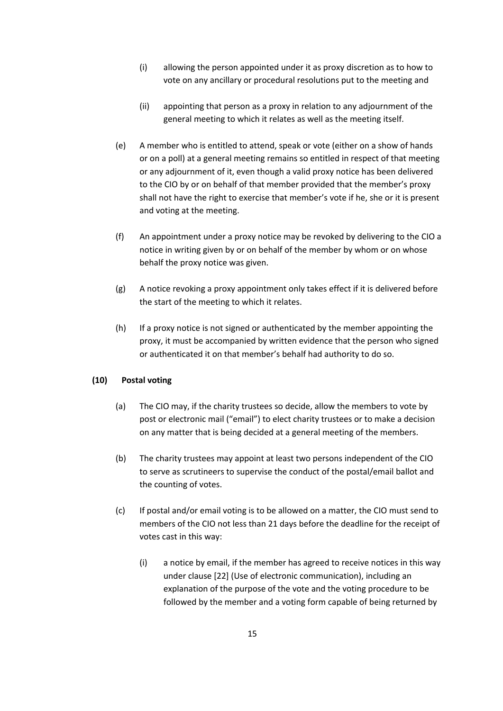- (i) allowing the person appointed under it as proxy discretion as to how to vote on any ancillary or procedural resolutions put to the meeting and
- (ii) appointing that person as a proxy in relation to any adjournment of the general meeting to which it relates as well as the meeting itself.
- (e) A member who is entitled to attend, speak or vote (either on a show of hands or on a poll) at a general meeting remains so entitled in respect of that meeting or any adjournment of it, even though a valid proxy notice has been delivered to the CIO by or on behalf of that member provided that the member's proxy shall not have the right to exercise that member's vote if he, she or it is present and voting at the meeting.
- (f) An appointment under a proxy notice may be revoked by delivering to the CIO a notice in writing given by or on behalf of the member by whom or on whose behalf the proxy notice was given.
- (g) A notice revoking a proxy appointment only takes effect if it is delivered before the start of the meeting to which it relates.
- (h) If a proxy notice is not signed or authenticated by the member appointing the proxy, it must be accompanied by written evidence that the person who signed or authenticated it on that member's behalf had authority to do so.

## **(10) Postal voting**

- (a) The CIO may, if the charity trustees so decide, allow the members to vote by post or electronic mail ("email") to elect charity trustees or to make a decision on any matter that is being decided at a general meeting of the members.
- (b) The charity trustees may appoint at least two persons independent of the CIO to serve as scrutineers to supervise the conduct of the postal/email ballot and the counting of votes.
- (c) If postal and/or email voting is to be allowed on a matter, the CIO must send to members of the CIO not less than 21 days before the deadline for the receipt of votes cast in this way:
	- (i) a notice by email, if the member has agreed to receive notices in this way under clause [22] (Use of electronic communication), including an explanation of the purpose of the vote and the voting procedure to be followed by the member and a voting form capable of being returned by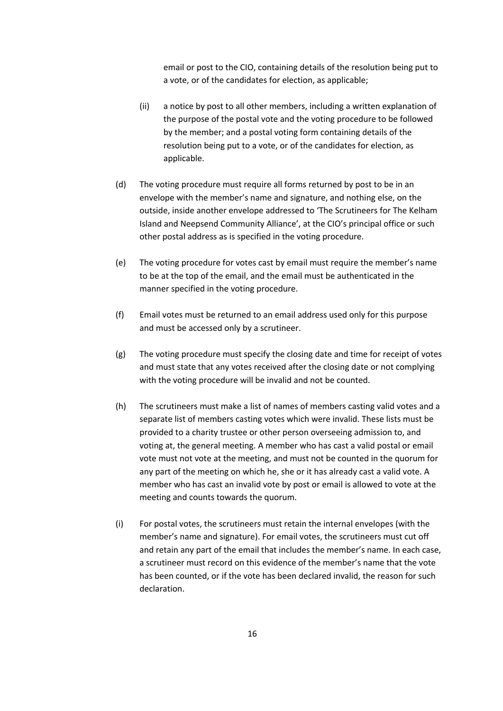email or post to the CIO, containing details of the resolution being put to a vote, or of the candidates for election, as applicable;

- (ii) a notice by post to all other members, including a written explanation of the purpose of the postal vote and the voting procedure to be followed by the member; and a postal voting form containing details of the resolution being put to a vote, or of the candidates for election, as applicable.
- (d) The voting procedure must require all forms returned by post to be in an envelope with the member's name and signature, and nothing else, on the outside, inside another envelope addressed to 'The Scrutineers for The Kelham Island and Neepsend Community Alliance', at the CIO's principal office or such other postal address as is specified in the voting procedure.
- (e) The voting procedure for votes cast by email must require the member's name to be at the top of the email, and the email must be authenticated in the manner specified in the voting procedure.
- (f) Email votes must be returned to an email address used only for this purpose and must be accessed only by a scrutineer.
- (g) The voting procedure must specify the closing date and time for receipt of votes and must state that any votes received after the closing date or not complying with the voting procedure will be invalid and not be counted.
- (h) The scrutineers must make a list of names of members casting valid votes and a separate list of members casting votes which were invalid. These lists must be provided to a charity trustee or other person overseeing admission to, and voting at, the general meeting. A member who has cast a valid postal or email vote must not vote at the meeting, and must not be counted in the quorum for any part of the meeting on which he, she or it has already cast a valid vote. A member who has cast an invalid vote by post or email is allowed to vote at the meeting and counts towards the quorum.
- (i) For postal votes, the scrutineers must retain the internal envelopes (with the member's name and signature). For email votes, the scrutineers must cut off and retain any part of the email that includes the member's name. In each case, a scrutineer must record on this evidence of the member's name that the vote has been counted, or if the vote has been declared invalid, the reason for such declaration.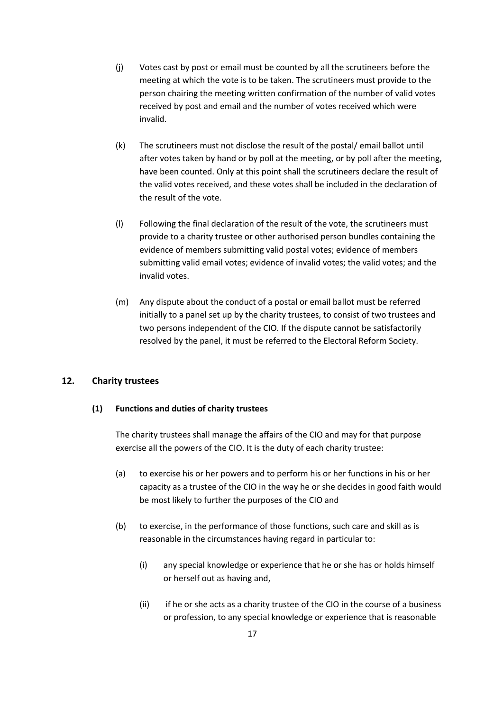- (j) Votes cast by post or email must be counted by all the scrutineers before the meeting at which the vote is to be taken. The scrutineers must provide to the person chairing the meeting written confirmation of the number of valid votes received by post and email and the number of votes received which were invalid.
- (k) The scrutineers must not disclose the result of the postal/ email ballot until after votes taken by hand or by poll at the meeting, or by poll after the meeting, have been counted. Only at this point shall the scrutineers declare the result of the valid votes received, and these votes shall be included in the declaration of the result of the vote.
- (l) Following the final declaration of the result of the vote, the scrutineers must provide to a charity trustee or other authorised person bundles containing the evidence of members submitting valid postal votes; evidence of members submitting valid email votes; evidence of invalid votes; the valid votes; and the invalid votes.
- (m) Any dispute about the conduct of a postal or email ballot must be referred initially to a panel set up by the charity trustees, to consist of two trustees and two persons independent of the CIO. If the dispute cannot be satisfactorily resolved by the panel, it must be referred to the Electoral Reform Society.

## **12. Charity trustees**

## **(1) Functions and duties of charity trustees**

The charity trustees shall manage the affairs of the CIO and may for that purpose exercise all the powers of the CIO. It is the duty of each charity trustee:

- (a) to exercise his or her powers and to perform his or her functions in his or her capacity as a trustee of the CIO in the way he or she decides in good faith would be most likely to further the purposes of the CIO and
- (b) to exercise, in the performance of those functions, such care and skill as is reasonable in the circumstances having regard in particular to:
	- (i) any special knowledge or experience that he or she has or holds himself or herself out as having and,
	- (ii) if he or she acts as a charity trustee of the CIO in the course of a business or profession, to any special knowledge or experience that is reasonable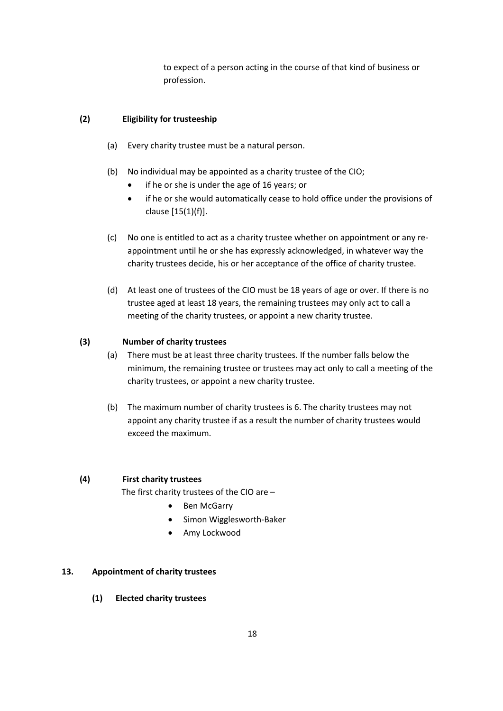to expect of a person acting in the course of that kind of business or profession.

## **(2) Eligibility for trusteeship**

- (a) Every charity trustee must be a natural person.
- (b) No individual may be appointed as a charity trustee of the CIO;
	- if he or she is under the age of 16 years; or
	- if he or she would automatically cease to hold office under the provisions of clause [15(1)(f)].
- (c) No one is entitled to act as a charity trustee whether on appointment or any reappointment until he or she has expressly acknowledged, in whatever way the charity trustees decide, his or her acceptance of the office of charity trustee.
- (d) At least one of trustees of the CIO must be 18 years of age or over. If there is no trustee aged at least 18 years, the remaining trustees may only act to call a meeting of the charity trustees, or appoint a new charity trustee.

#### **(3) Number of charity trustees**

- (a) There must be at least three charity trustees. If the number falls below the minimum, the remaining trustee or trustees may act only to call a meeting of the charity trustees, or appoint a new charity trustee.
- (b) The maximum number of charity trustees is 6. The charity trustees may not appoint any charity trustee if as a result the number of charity trustees would exceed the maximum.

## **(4) First charity trustees**

The first charity trustees of the CIO are –

- Ben McGarry
- Simon Wigglesworth-Baker
- Amy Lockwood

#### **13. Appointment of charity trustees**

**(1) Elected charity trustees**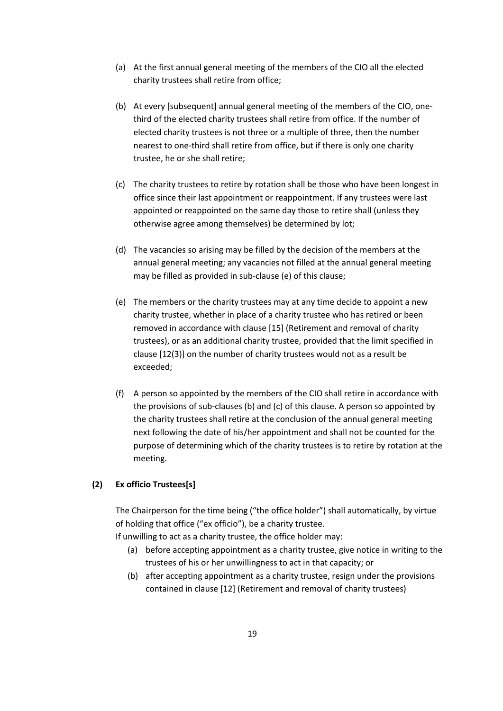- (a) At the first annual general meeting of the members of the CIO all the elected charity trustees shall retire from office;
- (b) At every [subsequent] annual general meeting of the members of the CIO, onethird of the elected charity trustees shall retire from office. If the number of elected charity trustees is not three or a multiple of three, then the number nearest to one-third shall retire from office, but if there is only one charity trustee, he or she shall retire;
- (c) The charity trustees to retire by rotation shall be those who have been longest in office since their last appointment or reappointment. If any trustees were last appointed or reappointed on the same day those to retire shall (unless they otherwise agree among themselves) be determined by lot;
- (d) The vacancies so arising may be filled by the decision of the members at the annual general meeting; any vacancies not filled at the annual general meeting may be filled as provided in sub-clause (e) of this clause;
- (e) The members or the charity trustees may at any time decide to appoint a new charity trustee, whether in place of a charity trustee who has retired or been removed in accordance with clause [15] (Retirement and removal of charity trustees), or as an additional charity trustee, provided that the limit specified in clause [12(3)] on the number of charity trustees would not as a result be exceeded;
- (f) A person so appointed by the members of the CIO shall retire in accordance with the provisions of sub-clauses (b) and (c) of this clause. A person so appointed by the charity trustees shall retire at the conclusion of the annual general meeting next following the date of his/her appointment and shall not be counted for the purpose of determining which of the charity trustees is to retire by rotation at the meeting.

## **(2) Ex officio Trustees[s]**

The Chairperson for the time being ("the office holder") shall automatically, by virtue of holding that office ("ex officio"), be a charity trustee.

If unwilling to act as a charity trustee, the office holder may:

- (a) before accepting appointment as a charity trustee, give notice in writing to the trustees of his or her unwillingness to act in that capacity; or
- (b) after accepting appointment as a charity trustee, resign under the provisions contained in clause [12] (Retirement and removal of charity trustees)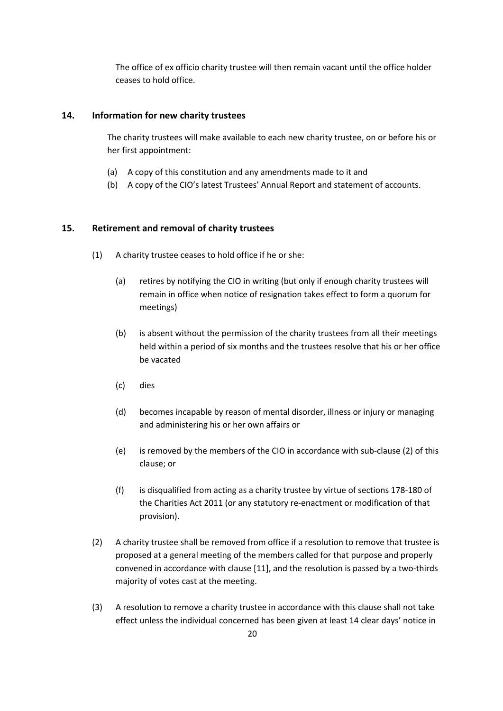The office of ex officio charity trustee will then remain vacant until the office holder ceases to hold office.

## **14. Information for new charity trustees**

The charity trustees will make available to each new charity trustee, on or before his or her first appointment:

- (a) A copy of this constitution and any amendments made to it and
- (b) A copy of the CIO's latest Trustees' Annual Report and statement of accounts.

## **15. Retirement and removal of charity trustees**

- (1) A charity trustee ceases to hold office if he or she:
	- (a) retires by notifying the CIO in writing (but only if enough charity trustees will remain in office when notice of resignation takes effect to form a quorum for meetings)
	- (b) is absent without the permission of the charity trustees from all their meetings held within a period of six months and the trustees resolve that his or her office be vacated
	- (c) dies
	- (d) becomes incapable by reason of mental disorder, illness or injury or managing and administering his or her own affairs or
	- (e) is removed by the members of the CIO in accordance with sub-clause (2) of this clause; or
	- (f) is disqualified from acting as a charity trustee by virtue of sections 178-180 of the Charities Act 2011 (or any statutory re-enactment or modification of that provision).
- (2) A charity trustee shall be removed from office if a resolution to remove that trustee is proposed at a general meeting of the members called for that purpose and properly convened in accordance with clause [11], and the resolution is passed by a two-thirds majority of votes cast at the meeting.
- (3) A resolution to remove a charity trustee in accordance with this clause shall not take effect unless the individual concerned has been given at least 14 clear days' notice in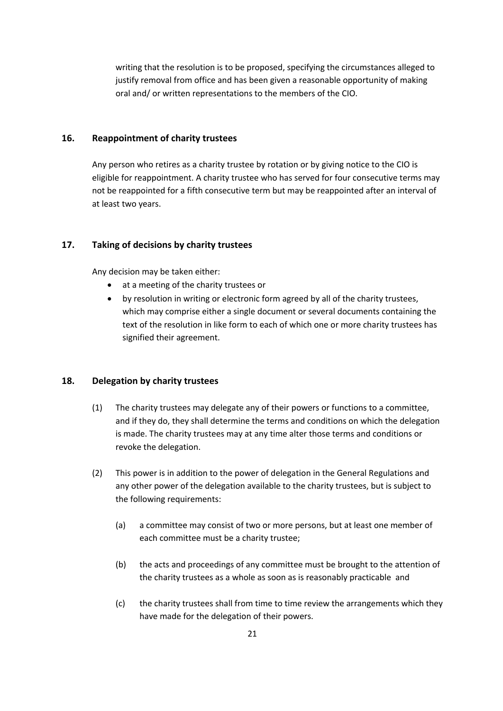writing that the resolution is to be proposed, specifying the circumstances alleged to justify removal from office and has been given a reasonable opportunity of making oral and/ or written representations to the members of the CIO.

## **16. Reappointment of charity trustees**

Any person who retires as a charity trustee by rotation or by giving notice to the CIO is eligible for reappointment. A charity trustee who has served for four consecutive terms may not be reappointed for a fifth consecutive term but may be reappointed after an interval of at least two years.

## **17. Taking of decisions by charity trustees**

Any decision may be taken either:

- at a meeting of the charity trustees or
- by resolution in writing or electronic form agreed by all of the charity trustees, which may comprise either a single document or several documents containing the text of the resolution in like form to each of which one or more charity trustees has signified their agreement.

## **18. Delegation by charity trustees**

- (1) The charity trustees may delegate any of their powers or functions to a committee, and if they do, they shall determine the terms and conditions on which the delegation is made. The charity trustees may at any time alter those terms and conditions or revoke the delegation.
- (2) This power is in addition to the power of delegation in the General Regulations and any other power of the delegation available to the charity trustees, but is subject to the following requirements:
	- (a) a committee may consist of two or more persons, but at least one member of each committee must be a charity trustee;
	- (b) the acts and proceedings of any committee must be brought to the attention of the charity trustees as a whole as soon as is reasonably practicable and
	- (c) the charity trustees shall from time to time review the arrangements which they have made for the delegation of their powers.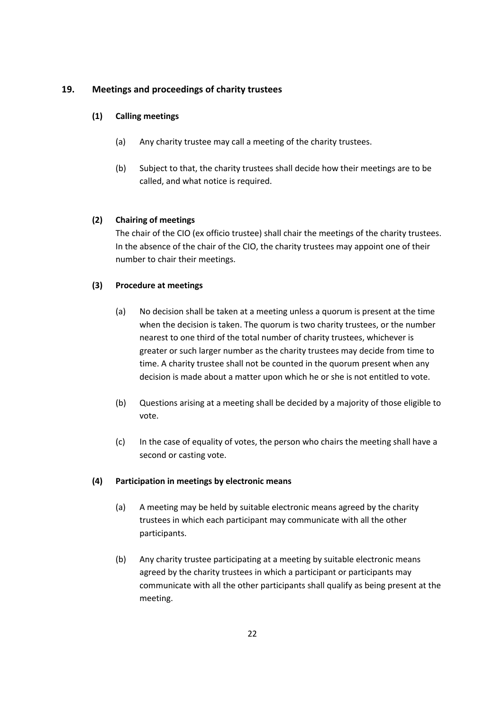# **19. Meetings and proceedings of charity trustees**

## **(1) Calling meetings**

- (a) Any charity trustee may call a meeting of the charity trustees.
- (b) Subject to that, the charity trustees shall decide how their meetings are to be called, and what notice is required.

# **(2) Chairing of meetings**

The chair of the CIO (ex officio trustee) shall chair the meetings of the charity trustees. In the absence of the chair of the CIO, the charity trustees may appoint one of their number to chair their meetings.

# **(3) Procedure at meetings**

- (a) No decision shall be taken at a meeting unless a quorum is present at the time when the decision is taken. The quorum is two charity trustees, or the number nearest to one third of the total number of charity trustees, whichever is greater or such larger number as the charity trustees may decide from time to time. A charity trustee shall not be counted in the quorum present when any decision is made about a matter upon which he or she is not entitled to vote.
- (b) Questions arising at a meeting shall be decided by a majority of those eligible to vote.
- (c) In the case of equality of votes, the person who chairs the meeting shall have a second or casting vote.

## **(4) Participation in meetings by electronic means**

- (a) A meeting may be held by suitable electronic means agreed by the charity trustees in which each participant may communicate with all the other participants.
- (b) Any charity trustee participating at a meeting by suitable electronic means agreed by the charity trustees in which a participant or participants may communicate with all the other participants shall qualify as being present at the meeting.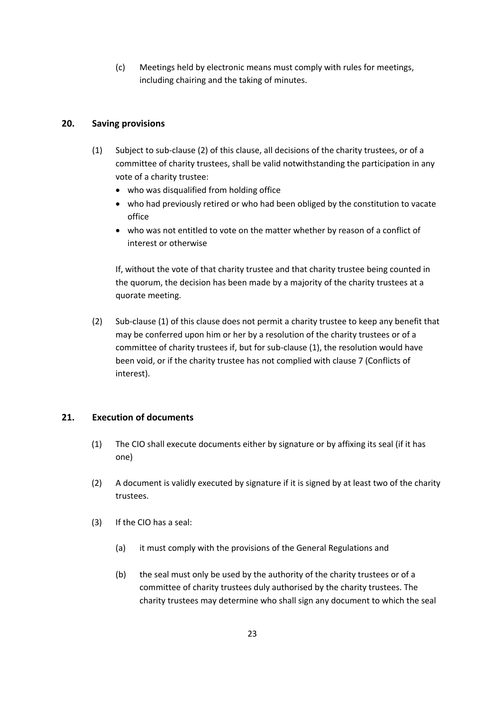(c) Meetings held by electronic means must comply with rules for meetings, including chairing and the taking of minutes.

# **20. Saving provisions**

- (1) Subject to sub-clause (2) of this clause, all decisions of the charity trustees, or of a committee of charity trustees, shall be valid notwithstanding the participation in any vote of a charity trustee:
	- who was disqualified from holding office
	- who had previously retired or who had been obliged by the constitution to vacate office
	- who was not entitled to vote on the matter whether by reason of a conflict of interest or otherwise

If, without the vote of that charity trustee and that charity trustee being counted in the quorum, the decision has been made by a majority of the charity trustees at a quorate meeting.

(2) Sub-clause (1) of this clause does not permit a charity trustee to keep any benefit that may be conferred upon him or her by a resolution of the charity trustees or of a committee of charity trustees if, but for sub-clause (1), the resolution would have been void, or if the charity trustee has not complied with clause 7 (Conflicts of interest).

# **21. Execution of documents**

- (1) The CIO shall execute documents either by signature or by affixing its seal (if it has one)
- (2) A document is validly executed by signature if it is signed by at least two of the charity trustees.
- (3) If the CIO has a seal:
	- (a) it must comply with the provisions of the General Regulations and
	- (b) the seal must only be used by the authority of the charity trustees or of a committee of charity trustees duly authorised by the charity trustees. The charity trustees may determine who shall sign any document to which the seal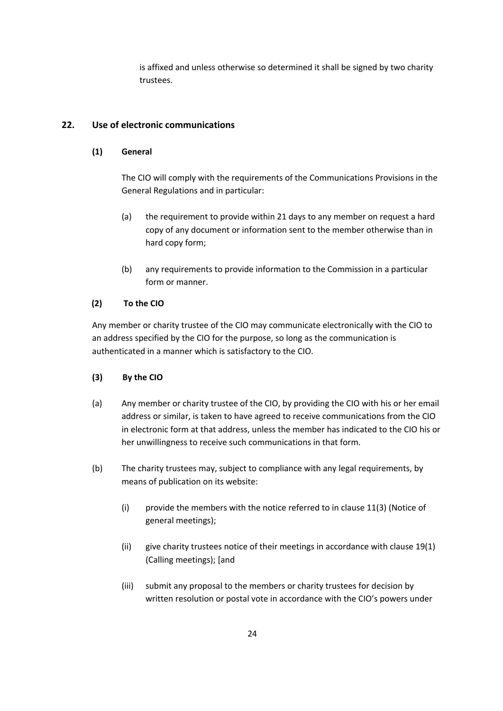is affixed and unless otherwise so determined it shall be signed by two charity trustees.

# **22. Use of electronic communications**

## **(1) General**

The CIO will comply with the requirements of the Communications Provisions in the General Regulations and in particular:

- (a) the requirement to provide within 21 days to any member on request a hard copy of any document or information sent to the member otherwise than in hard copy form;
- (b) any requirements to provide information to the Commission in a particular form or manner.

## **(2) To the CIO**

Any member or charity trustee of the CIO may communicate electronically with the CIO to an address specified by the CIO for the purpose, so long as the communication is authenticated in a manner which is satisfactory to the CIO.

- **(3) By the CIO**
- (a) Any member or charity trustee of the CIO, by providing the CIO with his or her email address or similar, is taken to have agreed to receive communications from the CIO in electronic form at that address, unless the member has indicated to the CIO his or her unwillingness to receive such communications in that form.
- (b) The charity trustees may, subject to compliance with any legal requirements, by means of publication on its website:
	- (i) provide the members with the notice referred to in clause 11(3) (Notice of general meetings);
	- (ii) give charity trustees notice of their meetings in accordance with clause 19(1) (Calling meetings); [and
	- (iii) submit any proposal to the members or charity trustees for decision by written resolution or postal vote in accordance with the CIO's powers under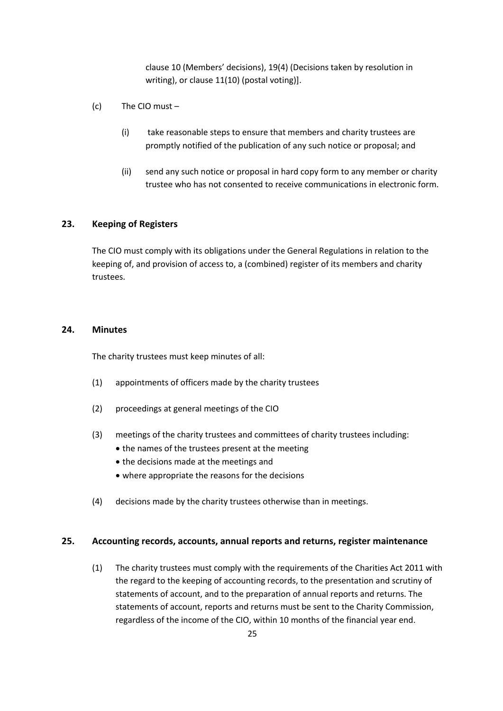clause 10 (Members' decisions), 19(4) (Decisions taken by resolution in writing), or clause 11(10) (postal voting)].

- (c) The CIO must
	- (i) take reasonable steps to ensure that members and charity trustees are promptly notified of the publication of any such notice or proposal; and
	- (ii) send any such notice or proposal in hard copy form to any member or charity trustee who has not consented to receive communications in electronic form.

# **23. Keeping of Registers**

The CIO must comply with its obligations under the General Regulations in relation to the keeping of, and provision of access to, a (combined) register of its members and charity trustees.

#### **24. Minutes**

The charity trustees must keep minutes of all:

- (1) appointments of officers made by the charity trustees
- (2) proceedings at general meetings of the CIO
- (3) meetings of the charity trustees and committees of charity trustees including:
	- the names of the trustees present at the meeting
	- the decisions made at the meetings and
	- where appropriate the reasons for the decisions
- (4) decisions made by the charity trustees otherwise than in meetings.

#### **25. Accounting records, accounts, annual reports and returns, register maintenance**

(1) The charity trustees must comply with the requirements of the Charities Act 2011 with the regard to the keeping of accounting records, to the presentation and scrutiny of statements of account, and to the preparation of annual reports and returns. The statements of account, reports and returns must be sent to the Charity Commission, regardless of the income of the CIO, within 10 months of the financial year end.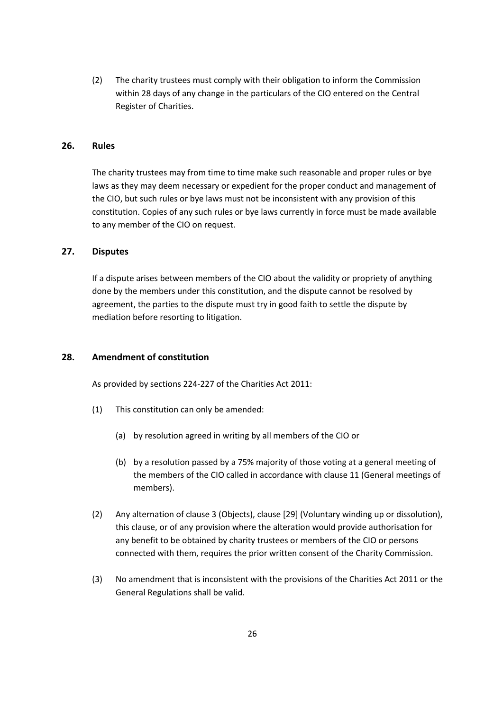(2) The charity trustees must comply with their obligation to inform the Commission within 28 days of any change in the particulars of the CIO entered on the Central Register of Charities.

## **26. Rules**

The charity trustees may from time to time make such reasonable and proper rules or bye laws as they may deem necessary or expedient for the proper conduct and management of the CIO, but such rules or bye laws must not be inconsistent with any provision of this constitution. Copies of any such rules or bye laws currently in force must be made available to any member of the CIO on request.

## **27. Disputes**

If a dispute arises between members of the CIO about the validity or propriety of anything done by the members under this constitution, and the dispute cannot be resolved by agreement, the parties to the dispute must try in good faith to settle the dispute by mediation before resorting to litigation.

## **28. Amendment of constitution**

As provided by sections 224-227 of the Charities Act 2011:

- (1) This constitution can only be amended:
	- (a) by resolution agreed in writing by all members of the CIO or
	- (b) by a resolution passed by a 75% majority of those voting at a general meeting of the members of the CIO called in accordance with clause 11 (General meetings of members).
- (2) Any alternation of clause 3 (Objects), clause [29] (Voluntary winding up or dissolution), this clause, or of any provision where the alteration would provide authorisation for any benefit to be obtained by charity trustees or members of the CIO or persons connected with them, requires the prior written consent of the Charity Commission.
- (3) No amendment that is inconsistent with the provisions of the Charities Act 2011 or the General Regulations shall be valid.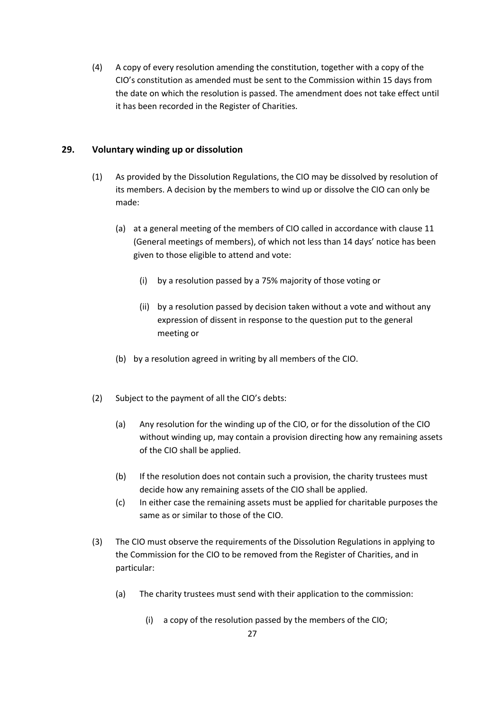(4) A copy of every resolution amending the constitution, together with a copy of the CIO's constitution as amended must be sent to the Commission within 15 days from the date on which the resolution is passed. The amendment does not take effect until it has been recorded in the Register of Charities.

# **29. Voluntary winding up or dissolution**

- (1) As provided by the Dissolution Regulations, the CIO may be dissolved by resolution of its members. A decision by the members to wind up or dissolve the CIO can only be made:
	- (a) at a general meeting of the members of CIO called in accordance with clause 11 (General meetings of members), of which not less than 14 days' notice has been given to those eligible to attend and vote:
		- (i) by a resolution passed by a 75% majority of those voting or
		- (ii) by a resolution passed by decision taken without a vote and without any expression of dissent in response to the question put to the general meeting or
	- (b) by a resolution agreed in writing by all members of the CIO.
- (2) Subject to the payment of all the CIO's debts:
	- (a) Any resolution for the winding up of the CIO, or for the dissolution of the CIO without winding up, may contain a provision directing how any remaining assets of the CIO shall be applied.
	- (b) If the resolution does not contain such a provision, the charity trustees must decide how any remaining assets of the CIO shall be applied.
	- (c) In either case the remaining assets must be applied for charitable purposes the same as or similar to those of the CIO.
- (3) The CIO must observe the requirements of the Dissolution Regulations in applying to the Commission for the CIO to be removed from the Register of Charities, and in particular:
	- (a) The charity trustees must send with their application to the commission:
		- (i) a copy of the resolution passed by the members of the CIO;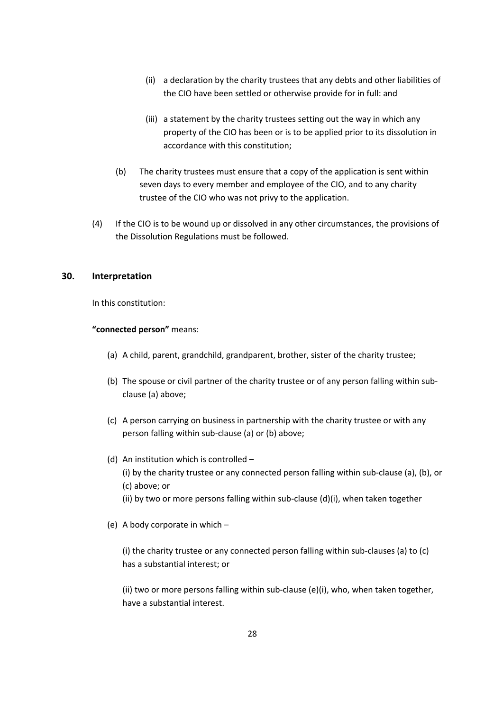- (ii) a declaration by the charity trustees that any debts and other liabilities of the CIO have been settled or otherwise provide for in full: and
- (iii) a statement by the charity trustees setting out the way in which any property of the CIO has been or is to be applied prior to its dissolution in accordance with this constitution;
- (b) The charity trustees must ensure that a copy of the application is sent within seven days to every member and employee of the CIO, and to any charity trustee of the CIO who was not privy to the application.
- (4) If the CIO is to be wound up or dissolved in any other circumstances, the provisions of the Dissolution Regulations must be followed.

## **30. Interpretation**

In this constitution:

## **"connected person"** means:

- (a) A child, parent, grandchild, grandparent, brother, sister of the charity trustee;
- (b) The spouse or civil partner of the charity trustee or of any person falling within subclause (a) above;
- (c) A person carrying on business in partnership with the charity trustee or with any person falling within sub-clause (a) or (b) above;
- (d) An institution which is controlled (i) by the charity trustee or any connected person falling within sub-clause (a), (b), or
	- (c) above; or
	- (ii) by two or more persons falling within sub-clause (d)(i), when taken together
- (e) A body corporate in which –

(i) the charity trustee or any connected person falling within sub-clauses (a) to (c) has a substantial interest; or

(ii) two or more persons falling within sub-clause (e)(i), who, when taken together, have a substantial interest.